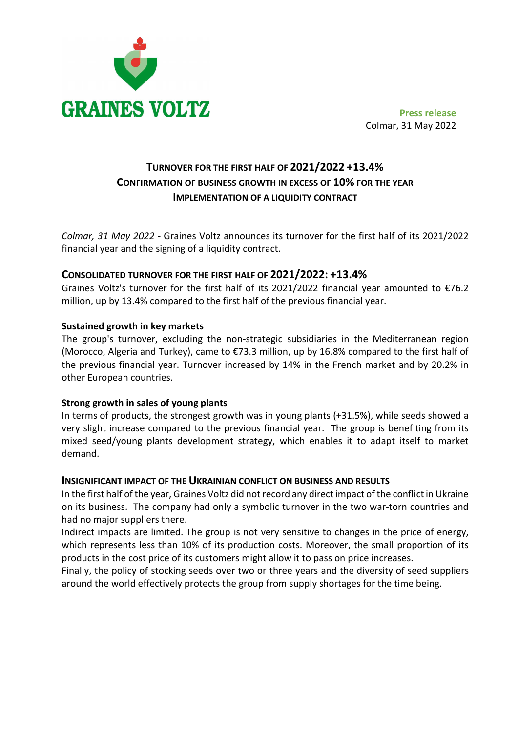

Colmar, 31 May 2022

# TURNOVER FOR THE FIRST HALF OF 2021/2022 +13.4% CONFIRMATION OF BUSINESS GROWTH IN EXCESS OF 10% FOR THE YEAR IMPLEMENTATION OF A LIQUIDITY CONTRACT

Colmar, 31 May 2022 - Graines Voltz announces its turnover for the first half of its 2021/2022 financial year and the signing of a liquidity contract.

# CONSOLIDATED TURNOVER FOR THE FIRST HALF OF 2021/2022: +13.4%

Graines Voltz's turnover for the first half of its 2021/2022 financial year amounted to €76.2 million, up by 13.4% compared to the first half of the previous financial year.

# Sustained growth in key markets

The group's turnover, excluding the non-strategic subsidiaries in the Mediterranean region (Morocco, Algeria and Turkey), came to €73.3 million, up by 16.8% compared to the first half of the previous financial year. Turnover increased by 14% in the French market and by 20.2% in other European countries.

# Strong growth in sales of young plants

In terms of products, the strongest growth was in young plants (+31.5%), while seeds showed a very slight increase compared to the previous financial year. The group is benefiting from its mixed seed/young plants development strategy, which enables it to adapt itself to market demand.

#### INSIGNIFICANT IMPACT OF THE UKRAINIAN CONFLICT ON BUSINESS AND RESULTS

In the first half of the year, Graines Voltz did not record any direct impact of the conflict in Ukraine on its business. The company had only a symbolic turnover in the two war-torn countries and had no major suppliers there.

Indirect impacts are limited. The group is not very sensitive to changes in the price of energy, which represents less than 10% of its production costs. Moreover, the small proportion of its products in the cost price of its customers might allow it to pass on price increases.

Finally, the policy of stocking seeds over two or three years and the diversity of seed suppliers around the world effectively protects the group from supply shortages for the time being.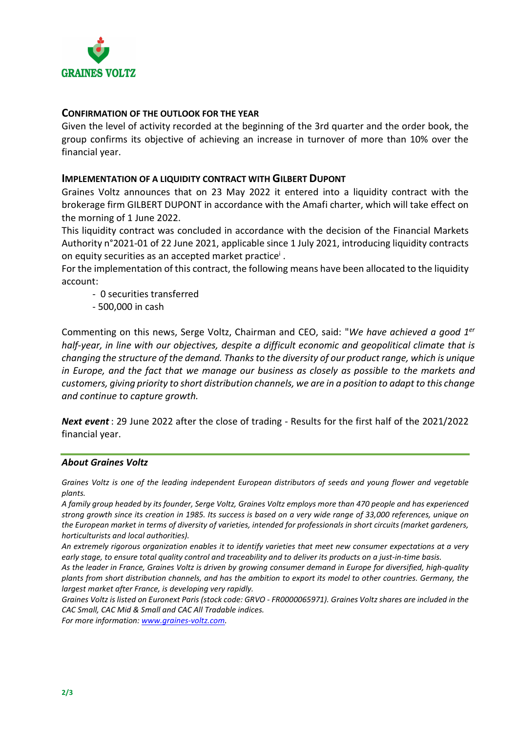

# CONFIRMATION OF THE OUTLOOK FOR THE YEAR

Given the level of activity recorded at the beginning of the 3rd quarter and the order book, the group confirms its objective of achieving an increase in turnover of more than 10% over the financial year.

### IMPLEMENTATION OF A LIQUIDITY CONTRACT WITH GILBERT DUPONT

Graines Voltz announces that on 23 May 2022 it entered into a liquidity contract with the brokerage firm GILBERT DUPONT in accordance with the Amafi charter, which will take effect on the morning of 1 June 2022.

This liquidity contract was concluded in accordance with the decision of the Financial Markets Authority n°2021-01 of 22 June 2021, applicable since 1 July 2021, introducing liquidity contracts on equity securities as an accepted market practice<sup>i</sup>.

For the implementation of this contract, the following means have been allocated to the liquidity account:

- 0 securities transferred
- 500,000 in cash

Commenting on this news, Serge Voltz, Chairman and CEO, said: "We have achieved a good 1er half-year, in line with our objectives, despite a difficult economic and geopolitical climate that is changing the structure of the demand. Thanks to the diversity of our product range, which is unique in Europe, and the fact that we manage our business as closely as possible to the markets and customers, giving priority to short distribution channels, we are in a position to adapt to this change and continue to capture growth.

Next event: 29 June 2022 after the close of trading - Results for the first half of the 2021/2022 financial year.

#### About Graines Voltz

Graines Voltz is one of the leading independent European distributors of seeds and young flower and vegetable plants.

A family group headed by its founder, Serge Voltz, Graines Voltz employs more than 470 people and has experienced strong growth since its creation in 1985. Its success is based on a very wide range of 33,000 references, unique on the European market in terms of diversity of varieties, intended for professionals in short circuits (market gardeners, horticulturists and local authorities).

An extremely rigorous organization enables it to identify varieties that meet new consumer expectations at a very early stage, to ensure total quality control and traceability and to deliver its products on a just-in-time basis.

As the leader in France, Graines Voltz is driven by growing consumer demand in Europe for diversified, high-quality plants from short distribution channels, and has the ambition to export its model to other countries. Germany, the largest market after France, is developing very rapidly.

Graines Voltz is listed on Euronext Paris (stock code: GRVO - FR0000065971). Graines Voltz shares are included in the CAC Small, CAC Mid & Small and CAC All Tradable indices.

For more information: www.graines-voltz.com.